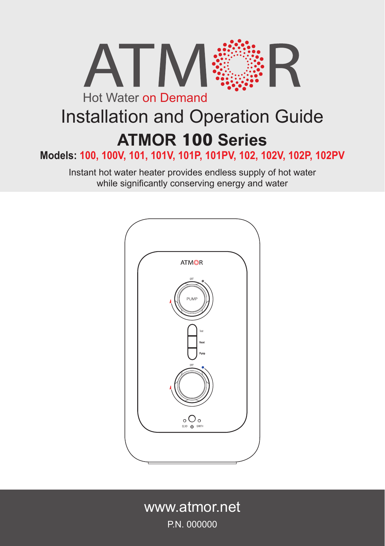

# Installation and Operation Guide **ATMOR 100 Series**

**Models: 100, 100V, 101, 101V, 101P, 101PV, 102, 102V, 102P, 102PV**

Instant hot water heater provides endless supply of hot water while significantly conserving energy and water



www.atmor.net P.N. 000000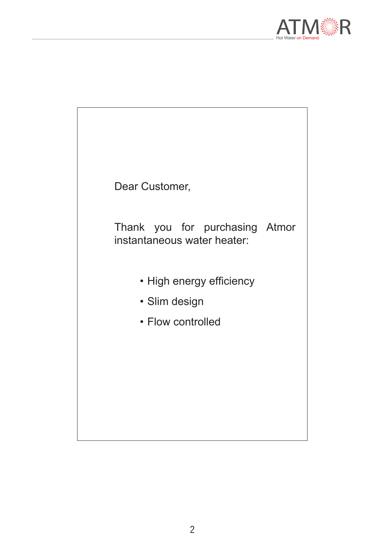

| Dear Customer,                                                 |  |
|----------------------------------------------------------------|--|
| Thank you for purchasing Atmor<br>instantaneous water heater:  |  |
| • High energy efficiency<br>• Slim design<br>• Flow controlled |  |
|                                                                |  |
|                                                                |  |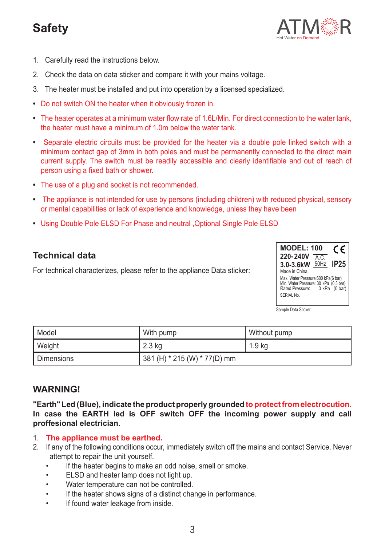## **Safety**



- 1. Carefully read the instructions below.
- 2. Check the data on data sticker and compare it with your mains voltage.
- 3. The heater must be installed and put into operation by a licensed specialized.
- **•**  Do not switch ON the heater when it obviously frozen in.
- **•**  The heater operates at a minimum water flow rate of 1.6L/Min. For direct connection to the water tank, the heater must have a minimum of 1.0m below the water tank.
- **•**  Separate electric circuits must be provided for the heater via a double pole linked switch with a minimum contact gap of 3mm in both poles and must be permanently connected to the direct main current supply. The switch must be readily accessible and clearly identifiable and out of reach of person using a fixed bath or shower.
- **•**  The use of a plug and socket is not recommended.
- **•**  The appliance is not intended for use by persons (including children) with reduced physical, sensory or mental capabilities or lack of experience and knowledge, unless they have been
- **•**  Using Double Pole ELSD For Phase and neutral ,Optional Single Pole ELSD

#### **Technical data**

For technical characterizes, please refer to the appliance Data sticker:



Sample Data Sticker

| Model      | With pump                        | Without pump |
|------------|----------------------------------|--------------|
| Weight     | 2.3 kg                           | 1.9 kg       |
| Dimensions | 381 (H) $*$ 215 (W) $*$ 77(D) mm |              |

#### **WARNING!**

**"Earth" Led (Blue), indicate the product properly grounded to protect from electrocution. In case the EARTH led is OFF switch OFF the incoming power supply and call proffesional electrician.**

- 1. **The appliance must be earthed.**
- 2. If any of the following conditions occur, immediately switch off the mains and contact Service. Never attempt to repair the unit yourself.
	- If the heater begins to make an odd noise, smell or smoke.
	- ELSD and heater lamp does not light up.
	- Water temperature can not be controlled.
	- If the heater shows signs of a distinct change in performance.
	- If found water leakage from inside.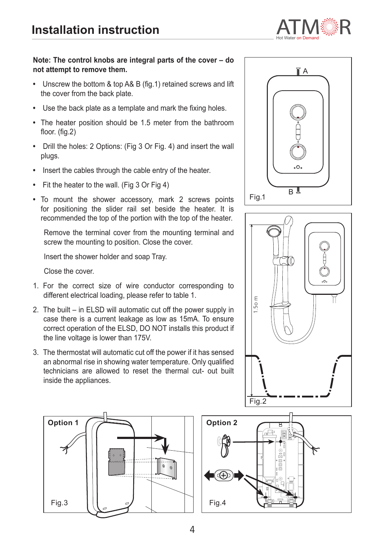

#### **Note: The control knobs are integral parts of the cover – do not attempt to remove them.**

- **•**  Unscrew the bottom & top A& B (fig.1) retained screws and lift the cover from the back plate.
- **•**  Use the back plate as a template and mark the fixing holes.
- The heater position should be 1.5 meter from the bathroom floor. (fig.2)
- **•**  Drill the holes: 2 Options: (Fig 3 Or Fig. 4) and insert the wall plugs.
- **•**  Insert the cables through the cable entry of the heater.
- **Fit the heater to the wall. (Fig 3 Or Fig 4)**
- **•**  To mount the shower accessory, mark 2 screws points for positioning the slider rail set beside the heater. It is recommended the top of the portion with the top of the heater.

Remove the terminal cover from the mounting terminal and screw the mounting to position. Close the cover.

Insert the shower holder and soap Tray.

Close the cover.

- 1. For the correct size of wire conductor corresponding to different electrical loading, please refer to table 1.
- 2. The built in ELSD will automatic cut off the power supply in case there is a current leakage as low as 15mA. To ensure correct operation of the ELSD, DO NOT installs this product if the line voltage is lower than 175V.
- 3. The thermostat will automatic cut off the power if it has sensed an abnormal rise in showing water temperature. Only qualified technicians are allowed to reset the thermal cut- out built inside the appliances.







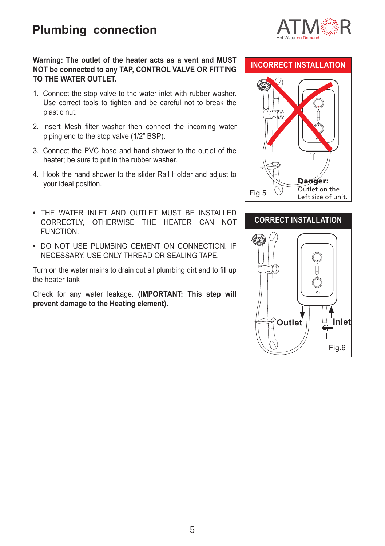

#### **Warning: The outlet of the heater acts as a vent and MUST NOT be connected to any TAP, CONTROL VALVE OR FITTING TO THE WATER OUTLET.**

- 1. Connect the stop valve to the water inlet with rubber washer. Use correct tools to tighten and be careful not to break the plastic nut.
- 2. Insert Mesh filter washer then connect the incoming water piping end to the stop valve (1/2" BSP).
- 3. Connect the PVC hose and hand shower to the outlet of the heater; be sure to put in the rubber washer.
- 4. Hook the hand shower to the slider Rail Holder and adjust to your ideal position.
- **•**  THE WATER INLET AND OUTLET MUST BE INSTALLED CORRECTLY, OTHERWISE THE HEATER CAN NOT FUNCTION.
- **DO NOT USE PLUMBING CEMENT ON CONNECTION. IF** NECESSARY, USE ONLY THREAD OR SEALING TAPE.

Turn on the water mains to drain out all plumbing dirt and to fill up the heater tank

Check for any water leakage. **(IMPORTANT: This step will prevent damage to the Heating element).**

#### **INCORRECT INSTALLATION**



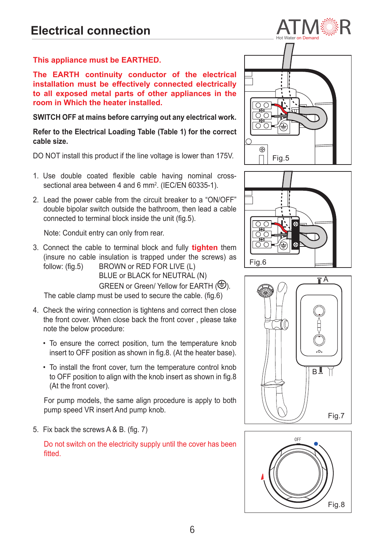**This appliance must be EARTHED.**

**The EARTH continuity conductor of the electrical installation must be effectively connected electrically to all exposed metal parts of other appliances in the room in Which the heater installed.**

#### **SWITCH OFF at mains before carrying out any electrical work.**

**Refer to the Electrical Loading Table (Table 1) for the correct cable size.**

DO NOT install this product if the line voltage is lower than 175V.

- 1. Use double coated flexible cable having nominal crosssectional area between 4 and 6 mm<sup>2</sup>. (IEC/EN 60335-1).
- 2. Lead the power cable from the circuit breaker to a "ON/OFF" double bipolar switch outside the bathroom, then lead a cable connected to terminal block inside the unit (fig.5).

Note: Conduit entry can only from rear.

3. Connect the cable to terminal block and fully **tighten** them (insure no cable insulation is trapped under the screws) as follow: (fig.5) BROWN or RED FOR LIVE (L) BLUE or BLACK for NEUTRAL (N) GREEN or Green/ Yellow for EARTH  $(\bigoplus)$ .

The cable clamp must be used to secure the cable. (fig.6)

- 4. Check the wiring connection is tightens and correct then close the front cover. When close back the front cover , please take note the below procedure:
	- To ensure the correct position, turn the temperature knob insert to OFF position as shown in fig.8. (At the heater base).
	- To install the front cover, turn the temperature control knob to OFF position to align with the knob insert as shown in fig.8 (At the front cover).

For pump models, the same align procedure is apply to both pump speed VR insert And pump knob.

5. Fix back the screws A & B. (fig. 7)

Do not switch on the electricity supply until the cover has been fitted.







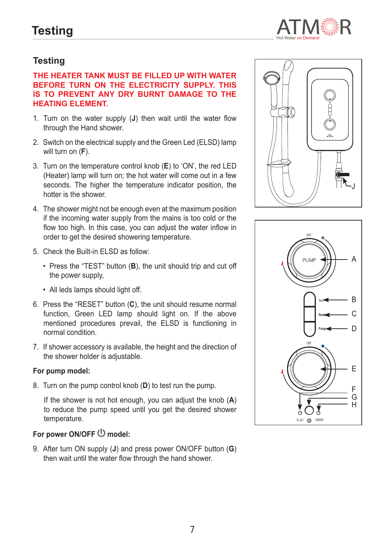

### **Testing**

#### **THE HEATER TANK MUST BE FILLED UP WITH WATER BEFORE TURN ON THE ELECTRICITY SUPPLY. THIS IS TO PREVENT ANY DRY BURNT DAMAGE TO THE HEATING ELEMENT.**

- 1. Turn on the water supply (**J**) then wait until the water flow through the Hand shower.
- 2. Switch on the electrical supply and the Green Led (ELSD) lamp will turn on (**F**).
- 3. Turn on the temperature control knob (**E**) to 'ON', the red LED (Heater) lamp will turn on; the hot water will come out in a few seconds. The higher the temperature indicator position, the hotter is the shower.
- 4. The shower might not be enough even at the maximum position if the incoming water supply from the mains is too cold or the flow too high. In this case, you can adjust the water inflow in order to get the desired showering temperature.
- 5. Check the Built-in ELSD as follow:
	- Press the "TEST" button (**B**), the unit should trip and cut off the power supply,
	- All leds lamps should light off.
- 6. Press the "RESET" button (**C**), the unit should resume normal function, Green LED lamp should light on. If the above mentioned procedures prevail, the ELSD is functioning in normal condition.
- 7. If shower accessory is available, the height and the direction of the shower holder is adjustable.

#### **For pump model:**

8. Turn on the pump control knob (**D**) to test run the pump.

If the shower is not hot enough, you can adjust the knob (**A**) to reduce the pump speed until you get the desired shower temperature.

## For power ON/OFF  $\bigcirc$  model:

9. After turn ON supply (**J**) and press power ON/OFF button (**G**) then wait until the water flow through the hand shower.



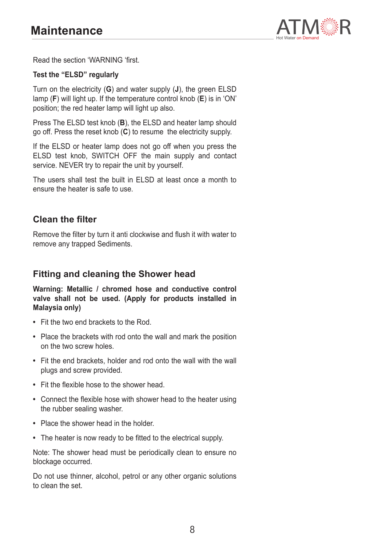

Read the section 'WARNING 'first.

#### **Test the "ELSD" regularly**

Turn on the electricity (**G**) and water supply (**J**), the green ELSD lamp (**F**) will light up. If the temperature control knob (**E**) is in 'ON' position; the red heater lamp will light up also.

Press The ELSD test knob (**B**), the ELSD and heater lamp should go off. Press the reset knob (**C**) to resume the electricity supply.

If the ELSD or heater lamp does not go off when you press the ELSD test knob, SWITCH OFF the main supply and contact service. NEVER try to repair the unit by yourself.

The users shall test the built in ELSD at least once a month to ensure the heater is safe to use.

#### **Clean the filter**

Remove the filter by turn it anti clockwise and flush it with water to remove any trapped Sediments.

#### **Fitting and cleaning the Shower head**

**Warning: Metallic / chromed hose and conductive control valve shall not be used. (Apply for products installed in Malaysia only)**

- **•**  Fit the two end brackets to the Rod.
- **•**  Place the brackets with rod onto the wall and mark the position on the two screw holes.
- **•**  Fit the end brackets, holder and rod onto the wall with the wall plugs and screw provided.
- **•**  Fit the flexible hose to the shower head.
- **•**  Connect the flexible hose with shower head to the heater using the rubber sealing washer.
- **•**  Place the shower head in the holder.
- **•**  The heater is now ready to be fitted to the electrical supply.

Note: The shower head must be periodically clean to ensure no blockage occurred.

Do not use thinner, alcohol, petrol or any other organic solutions to clean the set.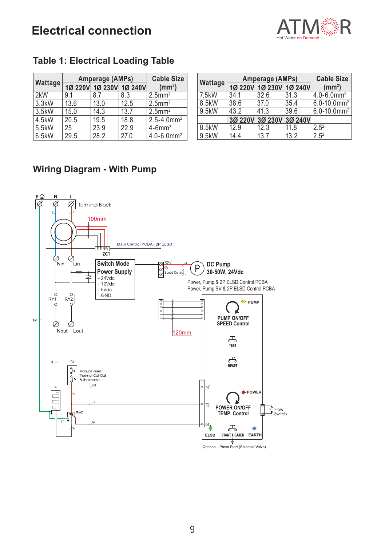

## **Table 1: Electrical Loading Table**

|         | Amperage (AMPs) |                         |      | <b>Cable Size</b>           |
|---------|-----------------|-------------------------|------|-----------------------------|
| Wattage |                 | 10 220V 10 230V 10 240V |      | $\text{m}^2$                |
| 2kW     | 91              | 87                      | 8.3  | $2.5$ mm <sup>2</sup>       |
| 3.3kW   | 13.6            | 13.0                    | 12.5 | $2.5$ mm <sup>2</sup>       |
| 3.5kW   | 15.0            | 14.3                    | 13.7 | $2.5$ mm <sup>2</sup>       |
| 4.5kW   | 20.5            | 19.5                    | 18.8 | $2.5 - 4.0$ mm <sup>2</sup> |
| 5.5kW   | 25              | 23.9                    | 22.9 | $4-6$ mm <sup>2</sup>       |
| 6.5kW   | 29.5            | 28.2                    | 27.0 | $4.0 - 6.0$ mm <sup>2</sup> |

|         | Amperage (AMPs) |                         |      | <b>Cable Size</b>            |
|---------|-----------------|-------------------------|------|------------------------------|
| Wattage |                 | 10 220V 10 230V 10 240V |      | $\text{m}^2$                 |
| 7.5kW   | 34.1            | 32.6                    | 31.3 | $4.0 - 6.0$ mm <sup>2</sup>  |
| 8.5kW   | 38.6            | 37.0                    | 35.4 | $6.0 - 10.0$ mm <sup>2</sup> |
| 9.5kW   | 43.2            | 41.3                    | 39.6 | $6.0 - 10.0$ mm <sup>2</sup> |
|         |                 | 3Ø 220V 3Ø 230V 3Ø 240V |      |                              |
| 8.5kW   | 12.9            | 12.3                    | 11.8 | $2.5^{2}$                    |
| 9.5kW   | 14.4            | 13.7                    | 13.2 | $2.5^{2}$                    |

## **Wiring Diagram - With Pump**

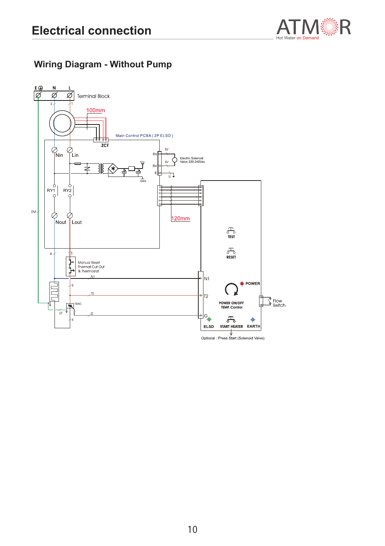

## **Wiring Diagram - Without Pump**

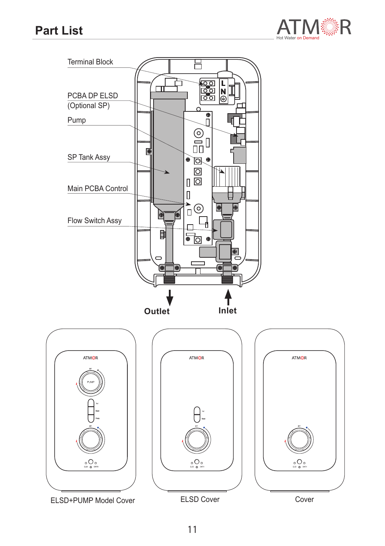